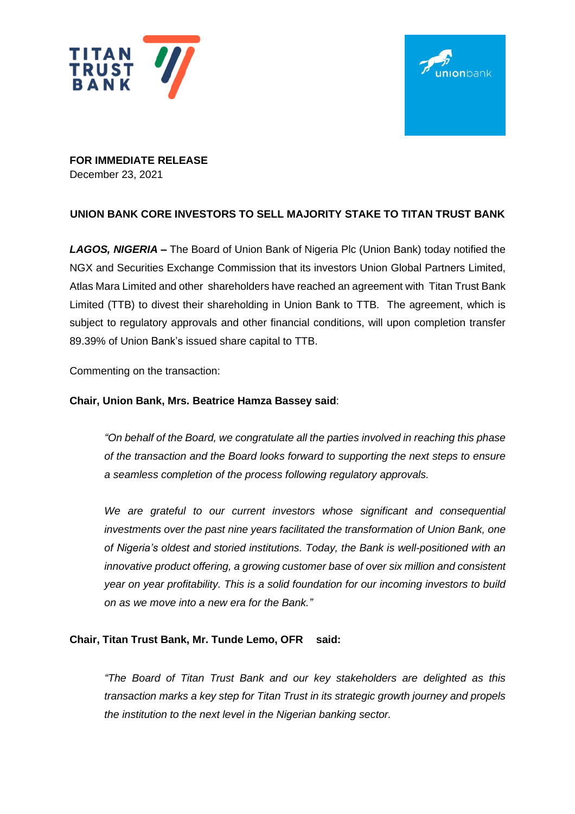



**FOR IMMEDIATE RELEASE** December 23, 2021

# **UNION BANK CORE INVESTORS TO SELL MAJORITY STAKE TO TITAN TRUST BANK**

*LAGOS, NIGERIA –* The Board of Union Bank of Nigeria Plc (Union Bank) today notified the NGX and Securities Exchange Commission that its investors Union Global Partners Limited, Atlas Mara Limited and other shareholders have reached an agreement with Titan Trust Bank Limited (TTB) to divest their shareholding in Union Bank to TTB. The agreement, which is subject to regulatory approvals and other financial conditions, will upon completion transfer 89.39% of Union Bank's issued share capital to TTB.

Commenting on the transaction:

## **Chair, Union Bank, Mrs. Beatrice Hamza Bassey said**:

*"On behalf of the Board, we congratulate all the parties involved in reaching this phase of the transaction and the Board looks forward to supporting the next steps to ensure a seamless completion of the process following regulatory approvals.*

*We are grateful to our current investors whose significant and consequential investments over the past nine years facilitated the transformation of Union Bank, one of Nigeria's oldest and storied institutions. Today, the Bank is well-positioned with an innovative product offering, a growing customer base of over six million and consistent year on year profitability. This is a solid foundation for our incoming investors to build on as we move into a new era for the Bank."*

### **Chair, Titan Trust Bank, Mr. Tunde Lemo, OFR said:**

*"The Board of Titan Trust Bank and our key stakeholders are delighted as this transaction marks a key step for Titan Trust in its strategic growth journey and propels the institution to the next level in the Nigerian banking sector.*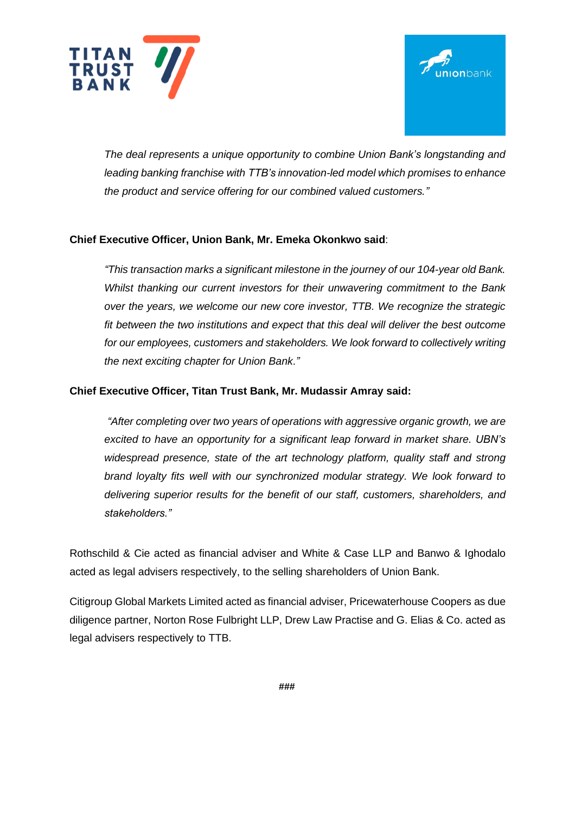



*The deal represents a unique opportunity to combine Union Bank's longstanding and leading banking franchise with TTB's innovation-led model which promises to enhance the product and service offering for our combined valued customers."*

# **Chief Executive Officer, Union Bank, Mr. Emeka Okonkwo said**:

*"This transaction marks a significant milestone in the journey of our 104-year old Bank. Whilst thanking our current investors for their unwavering commitment to the Bank over the years, we welcome our new core investor, TTB. We recognize the strategic fit between the two institutions and expect that this deal will deliver the best outcome for our employees, customers and stakeholders. We look forward to collectively writing the next exciting chapter for Union Bank."*

### **Chief Executive Officer, Titan Trust Bank, Mr. Mudassir Amray said:**

*"After completing over two years of operations with aggressive organic growth, we are excited to have an opportunity for a significant leap forward in market share. UBN's widespread presence, state of the art technology platform, quality staff and strong brand loyalty fits well with our synchronized modular strategy. We look forward to delivering superior results for the benefit of our staff, customers, shareholders, and stakeholders."*

Rothschild & Cie acted as financial adviser and White & Case LLP and Banwo & Ighodalo acted as legal advisers respectively, to the selling shareholders of Union Bank.

Citigroup Global Markets Limited acted as financial adviser, Pricewaterhouse Coopers as due diligence partner, Norton Rose Fulbright LLP, Drew Law Practise and G. Elias & Co. acted as legal advisers respectively to TTB.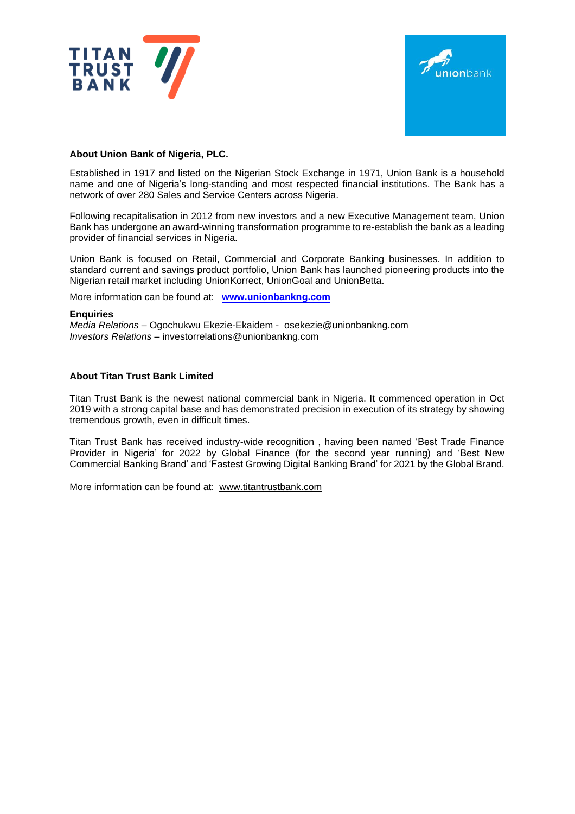



### **About Union Bank of Nigeria, PLC.**

Established in 1917 and listed on the Nigerian Stock Exchange in 1971, Union Bank is a household name and one of Nigeria's long-standing and most respected financial institutions. The Bank has a network of over 280 Sales and Service Centers across Nigeria.

Following recapitalisation in 2012 from new investors and a new Executive Management team, Union Bank has undergone an award-winning transformation programme to re-establish the bank as a leading provider of financial services in Nigeria.

Union Bank is focused on Retail, Commercial and Corporate Banking businesses. In addition to standard current and savings product portfolio, Union Bank has launched pioneering products into the Nigerian retail market including UnionKorrect, UnionGoal and UnionBetta.

More information can be found at: **www.unionbankng.com**

#### **Enquiries**

*Media Relations* – Ogochukwu Ekezie-Ekaidem - [osekezie@unionbankng.com](mailto:osekezie@unionbankng.com) *Investors Relations* – [investorrelations@unionbankng.com](mailto:investorrelations@unionbankng.com)

#### **About Titan Trust Bank Limited**

Titan Trust Bank is the newest national commercial bank in Nigeria. It commenced operation in Oct 2019 with a strong capital base and has demonstrated precision in execution of its strategy by showing tremendous growth, even in difficult times.

Titan Trust Bank has received industry-wide recognition , having been named 'Best Trade Finance Provider in Nigeria' for 2022 by Global Finance (for the second year running) and 'Best New Commercial Banking Brand' and 'Fastest Growing Digital Banking Brand' for 2021 by the Global Brand.

More information can be found at: [www.titantrustbank.com](http://www.titantrustbank.com/)